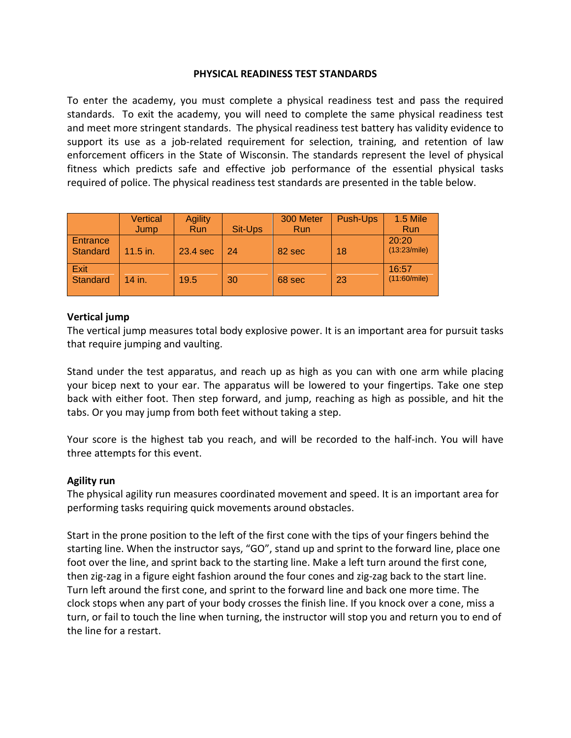### **PHYSICAL READINESS TEST STANDARDS**

To enter the academy, you must complete a physical readiness test and pass the required standards. To exit the academy, you will need to complete the same physical readiness test and meet more stringent standards. The physical readiness test battery has validity evidence to support its use as a job-related requirement for selection, training, and retention of law enforcement officers in the State of Wisconsin. The standards represent the level of physical fitness which predicts safe and effective job performance of the essential physical tasks required of police. The physical readiness test standards are presented in the table below.

|                      | Vertical   | <b>Agility</b> |         | 300 Meter  | <b>Push-Ups</b> | <b>1.5 Mile</b>       |
|----------------------|------------|----------------|---------|------------|-----------------|-----------------------|
|                      | Jump       | Run            | Sit-Ups | <b>Run</b> |                 | Run                   |
| Entrance<br>Standard | $11.5$ in. | 23.4 sec       | 24      | 82 sec     | 18              | 20:20<br>(13:23/mile) |
| Exit<br>Standard     | 14 in.     | 19.5           | 30      | 68 sec     | 23              | 16:57<br>(11:60/mile) |

## **Vertical jump**

The vertical jump measures total body explosive power. It is an important area for pursuit tasks that require jumping and vaulting.

Stand under the test apparatus, and reach up as high as you can with one arm while placing your bicep next to your ear. The apparatus will be lowered to your fingertips. Take one step back with either foot. Then step forward, and jump, reaching as high as possible, and hit the tabs. Or you may jump from both feet without taking a step.

Your score is the highest tab you reach, and will be recorded to the half-inch. You will have three attempts for this event.

### **Agility run**

The physical agility run measures coordinated movement and speed. It is an important area for performing tasks requiring quick movements around obstacles.

Start in the prone position to the left of the first cone with the tips of your fingers behind the starting line. When the instructor says, "GO", stand up and sprint to the forward line, place one foot over the line, and sprint back to the starting line. Make a left turn around the first cone, then zig-zag in a figure eight fashion around the four cones and zig-zag back to the start line. Turn left around the first cone, and sprint to the forward line and back one more time. The clock stops when any part of your body crosses the finish line. If you knock over a cone, miss a turn, or fail to touch the line when turning, the instructor will stop you and return you to end of the line for a restart.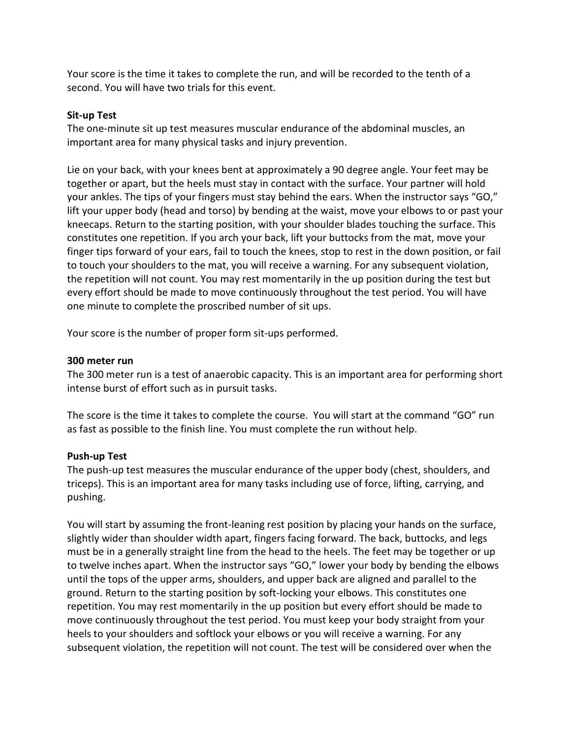Your score is the time it takes to complete the run, and will be recorded to the tenth of a second. You will have two trials for this event.

## **Sit-up Test**

The one-minute sit up test measures muscular endurance of the abdominal muscles, an important area for many physical tasks and injury prevention.

Lie on your back, with your knees bent at approximately a 90 degree angle. Your feet may be together or apart, but the heels must stay in contact with the surface. Your partner will hold your ankles. The tips of your fingers must stay behind the ears. When the instructor says "GO," lift your upper body (head and torso) by bending at the waist, move your elbows to or past your kneecaps. Return to the starting position, with your shoulder blades touching the surface. This constitutes one repetition. If you arch your back, lift your buttocks from the mat, move your finger tips forward of your ears, fail to touch the knees, stop to rest in the down position, or fail to touch your shoulders to the mat, you will receive a warning. For any subsequent violation, the repetition will not count. You may rest momentarily in the up position during the test but every effort should be made to move continuously throughout the test period. You will have one minute to complete the proscribed number of sit ups.

Your score is the number of proper form sit-ups performed.

### **300 meter run**

The 300 meter run is a test of anaerobic capacity. This is an important area for performing short intense burst of effort such as in pursuit tasks.

The score is the time it takes to complete the course. You will start at the command "GO" run as fast as possible to the finish line. You must complete the run without help.

### **Push-up Test**

The push-up test measures the muscular endurance of the upper body (chest, shoulders, and triceps). This is an important area for many tasks including use of force, lifting, carrying, and pushing.

You will start by assuming the front-leaning rest position by placing your hands on the surface, slightly wider than shoulder width apart, fingers facing forward. The back, buttocks, and legs must be in a generally straight line from the head to the heels. The feet may be together or up to twelve inches apart. When the instructor says "GO," lower your body by bending the elbows until the tops of the upper arms, shoulders, and upper back are aligned and parallel to the ground. Return to the starting position by soft-locking your elbows. This constitutes one repetition. You may rest momentarily in the up position but every effort should be made to move continuously throughout the test period. You must keep your body straight from your heels to your shoulders and softlock your elbows or you will receive a warning. For any subsequent violation, the repetition will not count. The test will be considered over when the